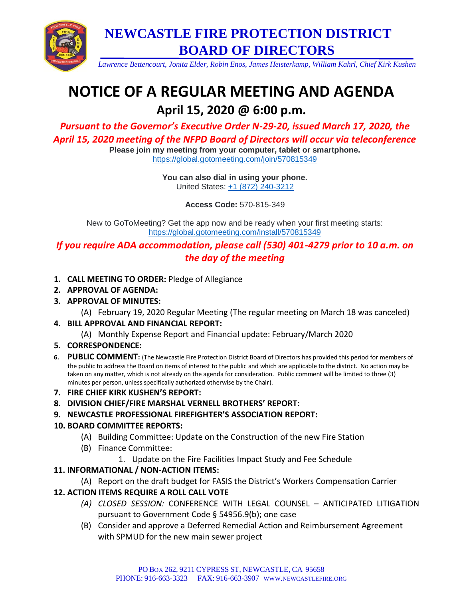

 **NEWCASTLE FIRE PROTECTION DISTRICT BOARD OF DIRECTORS**

 *Lawrence Bettencourt, Jonita Elder, Robin Enos, James Heisterkamp, William Kahrl, Chief Kirk Kushen*

## **NOTICE OF A REGULAR MEETING AND AGENDA April 15, 2020 @ 6:00 p.m.**

*Pursuant to the Governor's Executive Order N-29-20, issued March 17, 2020, the April 15, 2020 meeting of the NFPD Board of Directors will occur via teleconference*  **Please join my meeting from your computer, tablet or smartphone.**

<https://global.gotomeeting.com/join/570815349>

**You can also dial in using your phone.** United States: [+1 \(872\) 240-3212](tel:+18722403212,,570815349)

**Access Code:** 570-815-349

New to GoToMeeting? Get the app now and be ready when your first meeting starts: <https://global.gotomeeting.com/install/570815349>

## *If you require ADA accommodation, please call (530) 401-4279 prior to 10 a.m. on the day of the meeting*

- **1. CALL MEETING TO ORDER:** Pledge of Allegiance
- **2. APPROVAL OF AGENDA:**
- **3. APPROVAL OF MINUTES:**
	- (A) February 19, 2020 Regular Meeting (The regular meeting on March 18 was canceled)
- **4. BILL APPROVAL AND FINANCIAL REPORT:**
	- (A) Monthly Expense Report and Financial update: February/March 2020
- **5. CORRESPONDENCE:**
- **6. PUBLIC COMMENT:** (The Newcastle Fire Protection District Board of Directors has provided this period for members of the public to address the Board on items of interest to the public and which are applicable to the district. No action may be taken on any matter, which is not already on the agenda for consideration. Public comment will be limited to three (3) minutes per person, unless specifically authorized otherwise by the Chair).
- **7. FIRE CHIEF KIRK KUSHEN'S REPORT:**
- **8. DIVISION CHIEF/FIRE MARSHAL VERNELL BROTHERS' REPORT:**
- **9. NEWCASTLE PROFESSIONAL FIREFIGHTER'S ASSOCIATION REPORT:**
- **10. BOARD COMMITTEE REPORTS:**
	- (A) Building Committee: Update on the Construction of the new Fire Station
	- (B) Finance Committee:
		- 1. Update on the Fire Facilities Impact Study and Fee Schedule

## **11. INFORMATIONAL / NON-ACTION ITEMS:**

- (A) Report on the draft budget for FASIS the District's Workers Compensation Carrier
- **12. ACTION ITEMS REQUIRE A ROLL CALL VOTE**
	- *(A) CLOSED SESSION:* CONFERENCE WITH LEGAL COUNSEL ANTICIPATED LITIGATION pursuant to Government Code § 54956.9(b); one case
	- (B) Consider and approve a Deferred Remedial Action and Reimbursement Agreement with SPMUD for the new main sewer project